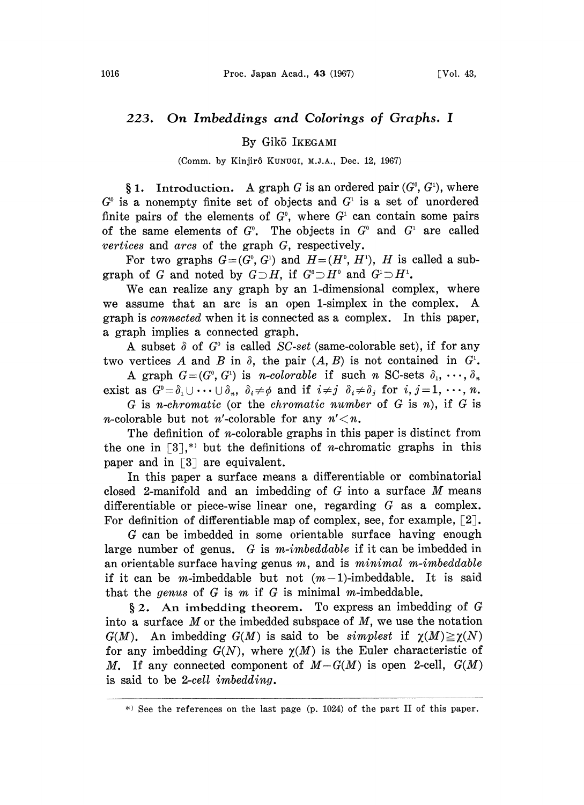## 223. On Imbeddings and Colorings of Graphs. <sup>I</sup>

## By Gik5 IKEGAMI

(Comm. by Kinjirô KUNUGI, M.J.A., Dec. 12, 1967)

§ 1. Introduction. A graph G is an ordered pair  $(G^0, G^1)$ , where  $G^{\circ}$  is a nonempty finite set of objects and  $G^{\circ}$  is a set of unordered finite pairs of the elements of  $G^{\circ}$ , where  $G^{\circ}$  can contain some pairs of the same elements of  $G^0$ . The objects in  $G^0$  and  $G^1$  are called vertices and arcs of the graph G, respectively.

For two graphs  $G=(G^0, G^1)$  and  $H=(H^0, H^1)$ , H is called a subgraph of G and noted by  $G \supset H$ , if  $G^0 \supset H^0$  and  $G^1 \supset H^1$ .

We can realize any graph by an 1-dimensional complex, where we assume that an arc is an open 1-simplex in the complex. A graph is connected when it is connected as a complex. In this paper, a graph implies a connected graph.

A subset  $\delta$  of  $G^{\circ}$  is called SC-set (same-colorable set), if for any two vertices A and B in  $\delta$ , the pair  $(A, B)$  is not contained in  $G^1$ .

A graph  $G=(G^0, G^1)$  is *n-colorable* if such *n* SC-sets  $\delta_1, \dots, \delta_n$ <br>exist as  $G^0 = \delta_1 \cup \dots \cup \delta_n$ ,  $\delta_i \neq \phi$  and if  $i \neq j$   $\delta_i \neq \delta_j$  for  $i, j = 1, \dots, n$ .

 $G$  is *n*-chromatic (or the *chromatic number* of  $G$  is *n*), if  $G$  is *n*-colorable but not *n*'-colorable for any  $n' < n$ .

The definition of *n*-colorable graphs in this paper is distinct from the one in  $[3]$ <sup>\*</sup> but the definitions of *n*-chromatic graphs in this paper and in  $\lceil 3 \rceil$  are equivalent.

In this paper a surface means a differentiable or combinatorial closed 2-manifold and an imbedding of  $G$  into a surface M means differentiable or piece-wise linear one, regarding G as a complex. For definition of differentiable map of complex, see, for example,  $\lceil 2 \rceil$ .

G can be imbedded in some orientable surface having enough large number of genus. G is m-imbeddable if it can be imbedded in an orientable surface having genus  $m$ , and is  $minimal$   $m$ -imbeddable if it can be *m*-imbeddable but not  $(m-1)$ -imbeddable. It is said that the genus of  $G$  is  $m$  if  $G$  is minimal m-imbeddable.

 $\S 2$ . An imbedding theorem. To express an imbedding of G into a surface  $M$  or the imbedded subspace of  $M$ , we use the notation  $G(M)$ . An imbedding  $G(M)$  is said to be *simplest* if  $\chi(M) \ge \chi(N)$ for any imbedding  $G(N)$ , where  $\chi(M)$  is the Euler characteristic of M. If any connected component of  $M-G(M)$  is open 2-cell,  $G(M)$ is said to be 2-cell imbedding.

 $*$  See the references on the last page (p. 1024) of the part II of this paper.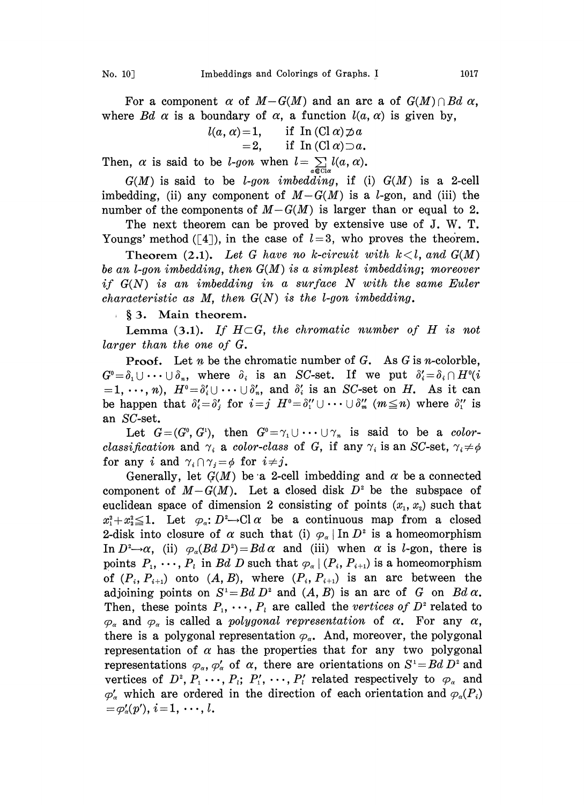For a component  $\alpha$  of  $M-G(M)$  and an arc a of  $G(M)\cap Bd$   $\alpha$ , where Bd  $\alpha$  is a boundary of  $\alpha$ , a function  $l(\alpha, \alpha)$  is given by,

$$
l(a, \alpha) = 1, \quad \text{if } \text{In } (\text{Cl } \alpha) \supset a \\ = 2, \quad \text{if } \text{In } (\text{Cl } \alpha) \supset a.
$$

Then,  $\alpha$  is said to be *l*-gon when  $l = \sum_{a \in \text{Cl}\alpha} l(a,$ 

 $G(M)$  is said to be *l-gon imbedding*, if (i)  $G(M)$  is a 2-cell imbedding, (ii) any component of  $M-G(M)$  is a *l*-gon, and (iii) the number of the components of  $M-G(M)$  is larger than or equal to 2.

The next theorem can be proved by extensive use of J. W. T. Youngs' method ([4]), in the case of  $l=3$ , who proves the theorem.

Theorem (2.1). Let G have no k-circuit with  $k < l$ , and  $G(M)$ be an l-gon imbedding, then G(M) is a simplest imbedding; moreover if  $G(N)$  is an imbedding in a surface N with the same Euler *characteristic as M, then*  $G(N)$  *is the l-gon imbedding.* 

§ 3. Main theorem.

Lemma (3.1). If  $H \subset G$ , the chromatic number of H is not larger than the one of G.

**Proof.** Let *n* be the chromatic number of *G*. As *G* is *n*-colorble,  $G^0 = \delta_1 \cup \cdots \cup \delta_n$ , where  $\delta_i$  is an SC-set. If we put  $\delta_i' = \delta_i \cap H^0(i)$  $=1,\,\cdots,\,n$ ,  $H^0=\delta_i'\cup\cdots\cup\delta_n'$ , and  $\delta_i'$  is an SC-set on H. As it can be happen that  $\delta'_i = \delta'_j$  for  $i = j$   $H^0 = \delta''_1 \cup \cdots \cup \delta''_m$   $(m \leq n)$  where  $\delta''_1$  is an SC-set.

Let  $G=(G^0, G^1)$ , then  $G^0=\gamma_1\cup\cdots\cup\gamma_n$  is said to be a colorclassification and  $\gamma_i$  a color-class of G, if any  $\gamma_i$  is an SC-set,  $\gamma_i \neq \phi$ for any i and  $\gamma_i \cap \gamma_j = \phi$  for  $i \neq j$ .

Generally, let  $G(M)$  be a 2-cell imbedding and  $\alpha$  be a connected component of  $M-G(M)$ . Let a closed disk  $D^2$  be the subspace of euclidean space of dimension 2 consisting of points  $(x_1, x_2)$  such that  $x_1^2+x_2^2\leq 1$ . Let  $\varphi_\alpha\colon D^2\to \mathbb{C}^1$  criational continuous map from a closed 2-disk into closure of  $\alpha$  such that (i)  $\varphi_{\alpha}$  In  $D^2$  is a homeomorphism In  $D^2 \rightarrow \alpha$ , (ii)  $\varphi_{\alpha}(Bd D^2) = Bd \alpha$  and (iii) when  $\alpha$  is *l*-gon, there is points  $P_1, \dots, P_i$  in Bd D such that  $\varphi_{\alpha} | (P_i, P_{i+1})$  is a homeomorphism of  $(P_i, P_{i+1})$  onto  $(A, B)$ , where  $(P_i, P_{i+1})$  is an arc between the adjoining points on  $S^1 = Bd D^2$  and  $(A, B)$  is an arc of G on  $Bd\alpha$ . Then, these points  $P_1, \cdots, P_l$  are called the vertices of  $D^2$  related to  $\varphi_{\alpha}$  and  $\varphi_{\alpha}$  is called a polygonal representation of  $\alpha$ . For any  $\alpha$ , there is a polygonal representation  $\varphi_{\alpha}$ . And, moreover, the polygonal representation of  $\alpha$  has the properties that for any two polygonal representations  $\varphi_{\alpha}, \varphi'_{\alpha}$  of  $\alpha$ , there are orientations on  $S^1 = Bd D^2$  and vertices of  $D^2$ ,  $P_1$ ,  $\cdots$ ,  $P_i$ ;  $P'_1$ ,  $\cdots$ ,  $P'_i$  related respectively to  $\varphi_{\alpha}$  and  $\varphi'_\alpha$  which are ordered in the direction of each orientation and  $\varphi_\alpha(P_i)$  $=\varphi'_\alpha(p'),\, i\!=\!1,\, \cdots,\, l.$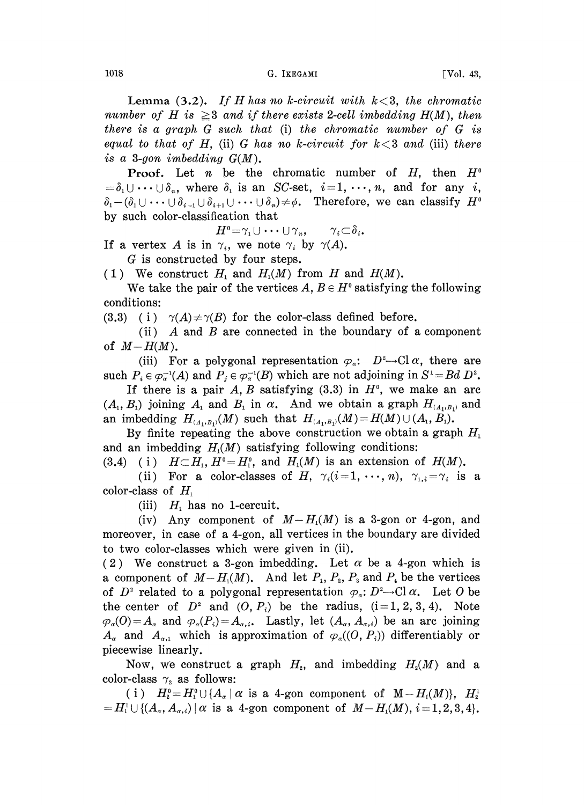Lemma (3.2). If H has no k-circuit with  $k < 3$ , the chromatic number of H is  $\geq$ 3 and if there exists 2-cell imbedding H(M), then there is a graph G such that (i) the chromatic number of G is equal to that of H, (ii) G has no k-circuit for  $k < 3$  and (iii) there is a 3-gon imbedding  $G(M)$ .

**Proof.** Let *n* be the chromatic number of *H*, then  $H^0$ **Proof.** Let *n* be the chromatic number of *H*, then  $H^0 = \delta_1 \cup \cdots \cup \delta_n$ , where  $\delta_1$  is an *SC*-set,  $i = 1, \dots, n$ , and for any *i*,  $\delta_1 - (\delta_1 \cup \cdots \cup \delta_{i-1} \cup \delta_{i+1} \cup \cdots \cup \delta_n) \neq \phi$ . Therefore, we can classify  $H^0$  b by such color-classification that

 $H^0 = \gamma_1 \cup \cdots \cup \gamma_n, \qquad \gamma_i \subset \delta_i.$ 

If a vertex A is in  $\gamma_i$ , we note  $\gamma_i$  by  $\gamma(A)$ .

G is constructed by four steps.

(1) We construct  $H_1$  and  $H_1(M)$  from H and  $H(M)$ .

We take the pair of the vertices  $A, B \in H^{\circ}$  satisfying the following conditions:

(3.3) (i)  $\gamma(A) \neq \gamma(B)$  for the color-class defined before.

(ii)  $A$  and  $B$  are connected in the boundary of a component of  $M-H(M)$ .

(iii) For a polygonal representation  $\varphi_{\alpha}$ :  $D^2 \rightarrow \text{Cl } \alpha$ , there are such  $P_i \in \varphi_\alpha^{-1}(A)$  and  $P_j \in \varphi_\alpha^{-1}(B)$  which are not adjoining in  $S^1 = Bd \ D^2$ .

If there is a pair A, B satisfying  $(3.3)$  in  $H<sup>0</sup>$ , we make an arc  $(A_1, B_1)$  joining  $A_1$  and  $B_1$  in  $\alpha$ . And we obtain a graph  $H_{(A_1, B_1)}$  and an imbedding  $H_{(A_1,B_1)}(M)$  such that  $H_{(A_1,B_1)}(M)=H(M) \cup (A_1, B_1)$ .

By finite repeating the above construction we obtain a graph  $H_1$ and an imbedding  $H<sub>1</sub>(M)$  satisfying following conditions:

(3.4) (i)  $H \subset H_1$ ,  $H^0 = H_1^0$ , and  $H_1(M)$  is an extension of  $H(M)$ .

(ii) For a color-classes of H,  $\gamma_i(i=1,\dots,n)$ ,  $\gamma_{1,i}=\gamma_i$  is a color-class of  $H_1$ 

(iii)  $H_1$  has no 1-cercuit.

(iv) Any component of  $M-H<sub>1</sub>(M)$  is a 3-gon or 4-gon, and moreover, in case of a 4-gon, all vertices in the boundary are divided to two color-classes which were given in (ii).

(2) We construct a 3-gon imbedding. Let  $\alpha$  be a 4-gon which is a component of  $M-H_1(M)$ . And let  $P_1, P_2, P_3$  and  $P_4$  be the vertices of  $D^2$  related to a polygonal representation  $\varphi_a: D^2 \to \text{Cl } \alpha$ . Let O be the center of  $D^2$  and  $(0, P_i)$  be the radius,  $(i=1, 2, 3, 4)$ . Note  $\varphi_{\alpha}(0) = A_{\alpha}$  and  $\varphi_{\alpha}(P_i) = A_{\alpha,i}$ . Lastly, let  $(A_{\alpha}, A_{\alpha,i})$  be an arc joining  $A_{\alpha}$  and  $A_{\alpha,1}$  which is approximation of  $\varphi_{\alpha}((O, P_i))$  differentiably or piecewise linearly.

Now, we construct a graph  $H_z$ , and imbedding  $H_z(M)$  and a color-class  $\gamma$  as follows:

(i)  $H_2^0 = H_1^0 \cup \{A_\alpha \mid \alpha \text{ is a 4-gon component of } M - H_1(M)\}, H_2^1$  $= H_1^1 \cup \{(A_\alpha, A_{\alpha,i}) \mid \alpha \text{ is a 4-gon component of } M-H_1(M), i=1, 2, 3, 4\}.$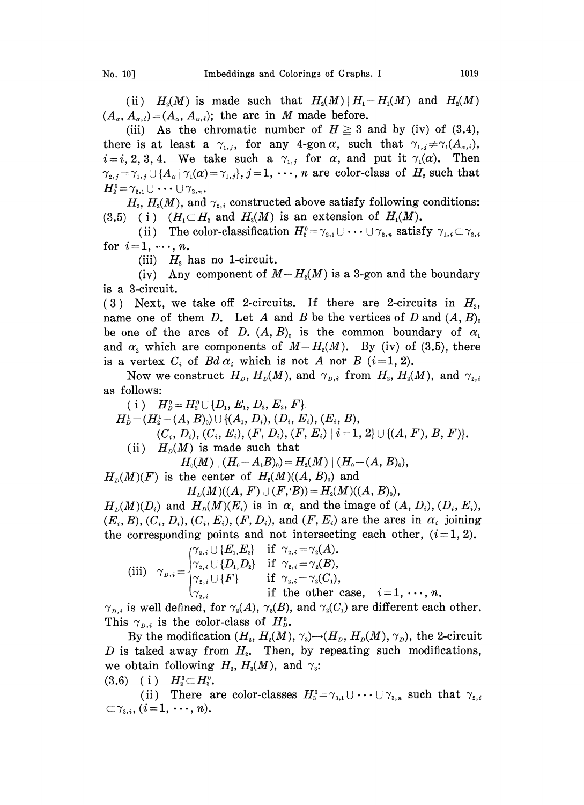(ii)  $H_2(M)$  is made such that  $H_2(M) | H_1-H_1(M)$  and  $H_2(M)$  $(A_{\alpha}, A_{\alpha,i})=(A_{\alpha}, A_{\alpha,i})$ ; the arc in M made before.

(iii) As the chromatic number of  $H \geq 3$  and by (iv) of (3.4), there is at least a  $\gamma_{1,i}$ , for any 4-gon  $\alpha$ , such that  $\gamma_{1,i} \neq \gamma_i(A_{\alpha,i}),$  $i=i, 2, 3, 4$ . We take such a  $\gamma_{1,i}$  for  $\alpha$ , and put it  $\gamma_1(\alpha)$ . Then  $\gamma_{2,j} = \gamma_{1,j} \cup \{A_\alpha \mid \gamma_1(\alpha) = \gamma_{1,j}\}, j = 1, \cdots, n$  are color-class of  $H_2$  such that  $H_2^0 = \gamma_{2,1} \cup \cdots \cup \gamma_{2,n}$ 

 $H<sub>2</sub>, H<sub>2</sub>(M)$ , and  $\gamma<sub>2,i</sub>$  constructed above satisfy following conditions: (3.5) (i)  $(H_1 \subset H_2$  and  $H_2(M)$  is an extension of  $H_1(M)$ .

(ii) The color-classification  $H_2^0 = \gamma_{2,1} \cup \cdots \cup \gamma_{2,n}$  satisfy  $\gamma_{1,i}$ <br>1, ..., n. for  $i=1, \dots, n$ .

(iii)  $H_2$  has no 1-circuit.

(iv) Any component of  $M-H_2(M)$  is a 3-gon and the boundary is a 3-circuit.

(3) Next, we take off 2-circuits. If there are 2-circuits in  $H<sub>2</sub>$ , name one of them D. Let A and B be the vertices of D and  $(A, B)$ <sub>0</sub> be one of the arcs of D.  $(A, B)$  is the common boundary of  $\alpha_1$ and  $\alpha_z$  which are components of  $M-H<sub>2</sub>(M)$ . By (iv) of (3.5), there is a vertex  $C_i$  of  $Bd\alpha_i$  which is not A nor B  $(i=1, 2)$ .

Now we construct  $H_D$ ,  $H_D(M)$ , and  $\gamma_{D,i}$  from  $H_i$ ,  $H_i(M)$ , and  $\gamma_{i,i}$ as follows:

(i)  $H_p^0 = H_2^0 \cup \{D_1, E_1, D_2, E_2, F\}$  $H_D^1 = (H_2^1 - (A, B)_0) \cup \{(A_1, D_i), (D_i, E_i), (E_i, B),$  $(C_i, D_i), (C_i, E_i), (F, D_i), (F, E_i) \mid i=1, 2 \} \cup \{(A, F), B, F\}.$ (ii)  $H_p(M)$  is made such that  $H_0(M) \mid (H_0-A_1B_0)=H_2(M) \mid (H_0-(A, B_0)),$  $H<sub>n</sub>(M)(F)$  is the center of  $H<sub>2</sub>(M)((A, B)<sub>0</sub>)$  and  $H_p(M)((A, F) \cup (F, B)) = H_p(M)((A, B)_0),$ 

 $H_p(M)(D_i)$  and  $H_p(M)(E_i)$  is in  $\alpha_i$  and the image of  $(A, D_i), (D_i, E_i),$  $(E_i, B), (C_i, D_i), (C_i, E_i), (F, D_i)$ , and  $(F, E_i)$  are the arcs in  $\alpha_i$  joining the corresponding points and not intersecting each other,  $(i=1, 2)$ .

(iii) 
$$
\gamma_{D,i} = \begin{cases} \gamma_{2,i} \cup \{E_1, E_2\} & \text{if } \gamma_{2,i} = \gamma_2(A). \\ \gamma_{2,i} \cup \{D_1, D_2\} & \text{if } \gamma_{2,i} = \gamma_2(B), \\ \gamma_{2,i} \cup \{F\} & \text{if } \gamma_{2,i} = \gamma_2(C_1), \\ \gamma_{2,i} & \text{if the other case, } i = 1, \dots, n. \end{cases}
$$

 $\gamma_{p,i}$  is well defined, for  $\gamma_2(A)$ ,  $\gamma_2(B)$ , and  $\gamma_2(C_1)$  are different each other. This  $\gamma_{p,i}$  is the color-class of  $H_p^0$ .

By the modification  $(H_z, H_z(M), \gamma_z) \rightarrow (H_p, H_p(M), \gamma_p)$ , the 2-circuit D is taked away from  $H<sub>2</sub>$ . Then, by repeating such modifications, we obtain following  $H_3$ ,  $H_3(M)$ , and  $\gamma_3$ :<br>
(3.6) (i)  $H_2^0 \subset H_3^0$ .<br>
(ii) There are color-classes  $H^0$ .

(3.6) (i)  $H_2^0 \subset H_3^0$ .<br>
(ii) There are color-classes  $H_3^0 = \gamma_{3,1} \cup \cdots \cup \gamma_{3,n}$  such that  $\gamma_{2,i}$ .  $\subset \gamma_{3,i}, (i=1,\cdots,n).$